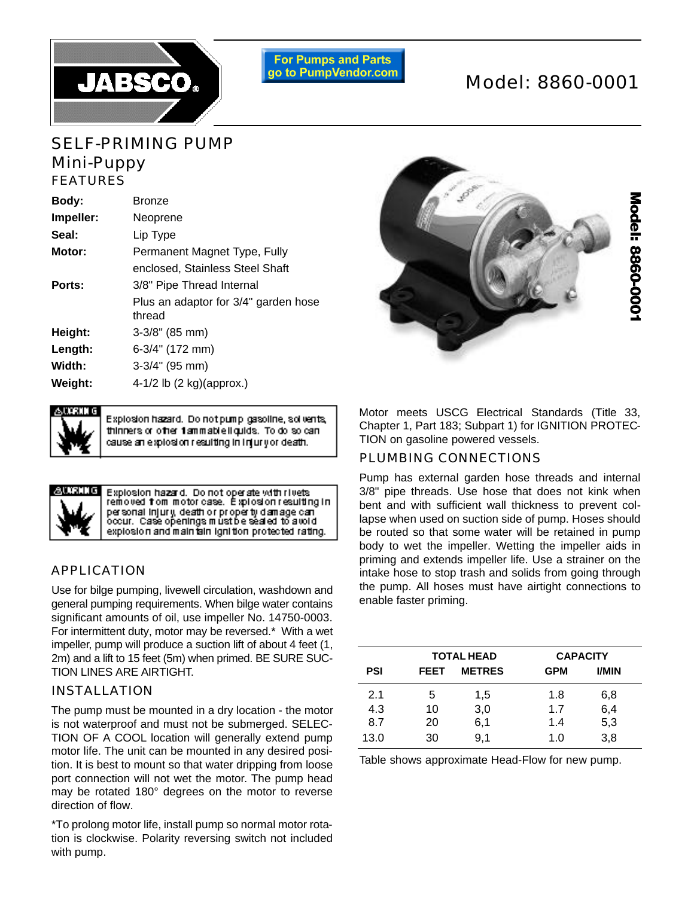

**For Pumps and Parts** go to PumpVendor.com

# Model: 8860-0001

# SELF-PRIMING PUMP Mini-Puppy FEATURES

| Body:     | <b>Bronze</b>                                  |
|-----------|------------------------------------------------|
| Impeller: | Neoprene                                       |
| Seal:     | Lip Type                                       |
| Motor:    | Permanent Magnet Type, Fully                   |
|           | enclosed. Stainless Steel Shaft                |
| Ports:    | 3/8" Pipe Thread Internal                      |
|           | Plus an adaptor for 3/4" garden hose<br>thread |
| Height:   | $3-3/8$ " (85 mm)                              |
| Length:   | 6-3/4" (172 mm)                                |
| Width:    | 3-3/4" (95 mm)                                 |
| Weight:   | 4-1/2 lb $(2 \text{ kg})(\text{approx.})$      |
|           |                                                |

Explosion hazard. Do not pump gasoline, solvents, thinners or other 1ammable liquids. To do so can cause an explosion resulting in injuryor death.



Explosion hazard. Do not operate with rivets<br>removed from motor case. Explosion resulting in per sonal injury, death or property damage can<br>occur. Case openings mustbe sealed to a world explosion and main tain ignition protected rating.

## APPLICATION

Use for bilge pumping, livewell circulation, washdown and general pumping requirements. When bilge water contains significant amounts of oil, use impeller No. 14750-0003. For intermittent duty, motor may be reversed.\* With a wet im peller, pump will produce a suction lift of about 4 feet (1, 2m) and a lift to 15 feet (5m) when primed. BE SURE SUC-TION LINES ARE AIRTIGHT.

# INSTALLATION

The pump must be mounted in a dry location - the motor is not waterproof and must not be submerged. SELEC-TION OF A COOL location will generally extend pump motor life. The unit can be mounted in any desired position. It is best to mount so that water dripping from loose port connection will not wet the motor. The pump head may be rotated 180° degrees on the motor to reverse direction of flow.

\*To prolong motor life, install pump so normal motor rotation is clockwise. Polarity reversing switch not included with pump.



Motor meets USCG Electrical Standards (Title 33, Chapter 1, Part 183; Subpart 1) for IGNITION PROTEC-TION on gasoline powered vessels.

## PLUMBING CONNECTIONS

Pump has external garden hose threads and internal 3/8" pipe threads. Use hose that does not kink when bent and with sufficient wall thickness to prevent collapse when used on suction side of pump. Hoses should be routed so that some water will be retained in pump body to wet the impeller. Wetting the impeller aids in priming and extends impeller life. Use a strainer on the intake hose to stop trash and solids from going through the pump. All hoses must have airtight connections to enable faster priming.

|      |             | <b>TOTAL HEAD</b> |            | <b>CAPACITY</b> |
|------|-------------|-------------------|------------|-----------------|
| PSI  | <b>FEET</b> | <b>METRES</b>     | <b>GPM</b> | <b>I/MIN</b>    |
| 2.1  | 5           | 1,5               | 1.8        | 6,8             |
| 4.3  | 10          | 3,0               | 1.7        | 6,4             |
| 8.7  | 20          | 6,1               | 1.4        | 5,3             |
| 13.0 | 30          | 9,1               | 1.0        | 3,8             |

Table shows approximate Head-Flow for new pump.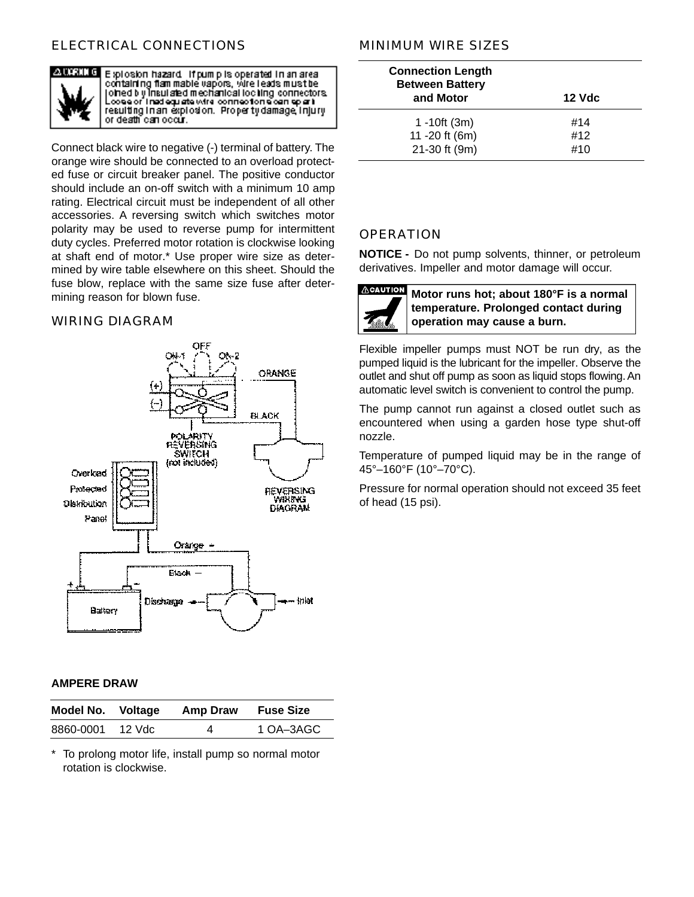# ELECTRICAL CONNECTIONS



Explosion hazard if pump is operated in an area<br>containing flammable vapors, wire leads must be othed by Insulated mechanical loc ling connectors. coee or lined equate wire connection a can apart resulting in an explosion. Property damage injury o r death can occur.

Connect black wire to negative (-) terminal of battery. The orange wire should be connected to an overload protected fuse or circuit breaker panel. The positive conductor should include an on-off switch with a minimum 10 amp rating. Electrical circuit must be independent of all other accessories. A reversing switch which switches motor polarity may be used to reverse pump for intermittent duty cycles. Preferred motor rotation is clockwise looking at shaft end of motor.\* Use proper wire size as determined by wire table elsewhere on this sheet. Should the fuse blow, replace with the same size fuse after determining reason for blown fuse.

#### WIRING DIAGRAM



#### **AMPERE DRAW**

| Model No. Voltage |          | Amp Draw | <b>Fuse Size</b> |
|-------------------|----------|----------|------------------|
| 8860-0001         | – 12 Vdc | 4        | 1 OA-3AGC        |

To prolong motor life, install pump so normal motor rotation is clockwise.

## MINIMUM WIRE SIZES

| <b>Connection Length</b><br><b>Between Battery</b><br>and Motor | 12 Vdc |
|-----------------------------------------------------------------|--------|
| 1 -10ft $(3m)$                                                  | #14    |
| 11 -20 ft (6m)                                                  | #12    |
| 21-30 ft (9m)                                                   | #10    |

#### **OPERATION**

**NOTICE -** Do not pump solvents, thinner, or petroleum derivatives. Impeller and motor damage will occur.



**Motor runs hot; about 180°F is a normal temperature. Prolonged contact during operation may cause a burn.**

Flexible impeller pumps must NOT be run dry, as the pumped liquid is the lubricant for the impeller. Observe the outlet and shut off pump as soon as liquid stops flowing. An automatic level switch is convenient to control the pump.

The pump cannot run against a closed outlet such as encountered when using a garden hose type shut-off nozzle.

Temperature of pumped liquid may be in the range of 45°–160°F (10°–70°C).

Pressure for normal operation should not exceed 35 feet of head (15 psi).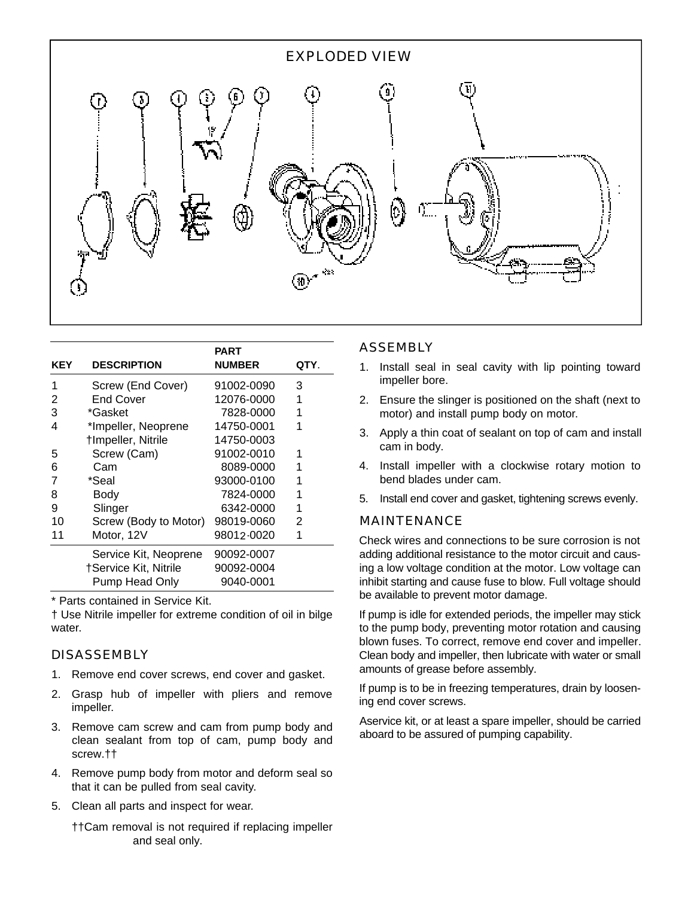

| KEY | <b>DESCRIPTION</b>                             | <b>PART</b><br><b>NUMBER</b> | QTY. |
|-----|------------------------------------------------|------------------------------|------|
| 1   | Screw (End Cover)                              | 91002-0090                   | 3    |
| 2   | <b>End Cover</b>                               | 12076-0000                   | 1    |
| 3   | *Gasket                                        | 7828-0000                    | 1    |
| 4   | *Impeller, Neoprene                            | 14750-0001                   | 1    |
|     | †Impeller, Nitrile                             | 14750-0003                   |      |
| 5   | Screw (Cam)                                    | 91002-0010                   | 1    |
| 6   | Cam                                            | 8089-0000                    |      |
| 7   | *Seal                                          | 93000-0100                   |      |
| 8   | Body                                           | 7824-0000                    |      |
| 9   | Slinger                                        | 6342-0000                    | 1    |
| 10  | Screw (Body to Motor)                          | 98019-0060                   | 2    |
| 11  | Motor, 12V                                     | 98012 0020                   | 1    |
|     | Service Kit, Neoprene<br>†Service Kit, Nitrile | 90092-0007<br>90092-0004     |      |
|     | Pump Head Only                                 | 9040-0001                    |      |

\* Parts contained in Service Kit.

† Use Nitrile impeller for extreme condition of oil in bilge water.

## DISASSEMBLY

- 1. Remove end cover screws, end cover and gasket.
- 2. Grasp hub of impeller with pliers and remove impeller.
- 3. Remove cam screw and cam from pump body and clean sealant from top of cam, pump body and screw.††
- 4. Remove pump body from motor and deform seal so that it can be pulled from seal cavity.
- 5. Clean all parts and inspect for wear.

††Cam removal is not required if replacing impeller and seal only.

#### ASSEMBLY

- 1. Install seal in seal cavity with lip pointing toward impeller bore.
- 2. Ensure the slinger is positioned on the shaft (next to motor) and install pump body on motor.
- 3. Apply a thin coat of sealant on top of cam and install cam in body.
- 4. Install impeller with a clockwise rotary motion to bend blades under cam.
- 5 . Install end cover and gasket, tightening screws evenly.

## MAINTENANCE

Check wires and connections to be sure corrosion is not adding additional resistance to the motor circuit and causing a low voltage condition at the motor. Low voltage can inhibit starting and cause fuse to blow. Full voltage should be available to prevent motor damage.

If pump is idle for extended periods, the impeller may stick to the pump body, preventing motor rotation and causing blown fuses. To correct, remove end cover and impeller. Clean body and impeller, then lubricate with water or small amounts of grease before assembly.

If pump is to be in freezing temperatures, drain by loosening end cover screws.

Aservice kit, or at least a spare impeller, should be carried aboard to be assured of pumping capability.